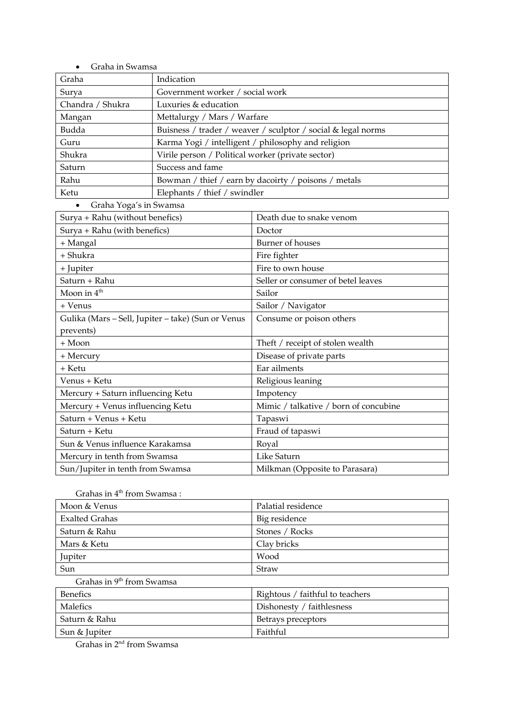| Graha in Swamsa                                    |                                                              |                                       |
|----------------------------------------------------|--------------------------------------------------------------|---------------------------------------|
| Graha                                              | Indication                                                   |                                       |
| Surya                                              | Government worker / social work                              |                                       |
| Chandra / Shukra                                   | Luxuries & education                                         |                                       |
| Mangan                                             | Mettalurgy / Mars / Warfare                                  |                                       |
| Budda                                              | Buisness / trader / weaver / sculptor / social & legal norms |                                       |
| Guru                                               | Karma Yogi / intelligent / philosophy and religion           |                                       |
| Shukra                                             | Virile person / Political worker (private sector)            |                                       |
| Saturn                                             | Success and fame                                             |                                       |
| Rahu                                               | Bowman / thief / earn by dacoirty / poisons / metals         |                                       |
| Ketu                                               | Elephants / thief / swindler                                 |                                       |
| Graha Yoga's in Swamsa<br>$\bullet$                |                                                              |                                       |
| Surya + Rahu (without benefics)                    |                                                              | Death due to snake venom              |
| Surya + Rahu (with benefics)                       |                                                              | Doctor                                |
| + Mangal                                           |                                                              | Burner of houses                      |
| + Shukra                                           |                                                              | Fire fighter                          |
| + Jupiter                                          |                                                              | Fire to own house                     |
| Saturn + Rahu                                      |                                                              | Seller or consumer of betel leaves    |
| Moon in 4 <sup>th</sup>                            |                                                              | Sailor                                |
| + Venus                                            |                                                              | Sailor / Navigator                    |
| Gulika (Mars - Sell, Jupiter - take) (Sun or Venus |                                                              | Consume or poison others              |
| prevents)                                          |                                                              |                                       |
| + Moon                                             |                                                              | Theft / receipt of stolen wealth      |
| + Mercury                                          |                                                              | Disease of private parts              |
| + Ketu                                             |                                                              | Ear ailments                          |
| Venus + Ketu                                       |                                                              | Religious leaning                     |
| Mercury + Saturn influencing Ketu                  |                                                              | Impotency                             |
| Mercury + Venus influencing Ketu                   |                                                              | Mimic / talkative / born of concubine |
| Saturn + Venus + Ketu                              |                                                              | Tapaswi                               |
| Saturn + Ketu                                      |                                                              | Fraud of tapaswi                      |
| Sun & Venus influence Karakamsa                    |                                                              | Royal                                 |
| Mercury in tenth from Swamsa                       |                                                              | Like Saturn                           |
| Sun/Jupiter in tenth from Swamsa                   |                                                              | Milkman (Opposite to Parasara)        |

Grahas in  $4^{\rm th}$  from Swamsa :

| Moon & Venus                          | Palatial residence              |  |
|---------------------------------------|---------------------------------|--|
| <b>Exalted Grahas</b>                 | Big residence                   |  |
| Saturn & Rahu                         | Stones / Rocks                  |  |
| Mars & Ketu                           | Clay bricks                     |  |
| Jupiter                               | Wood                            |  |
| Sun                                   | Straw                           |  |
| Grahas in 9 <sup>th</sup> from Swamsa |                                 |  |
| <b>Benefics</b>                       | Rightous / faithful to teachers |  |
| Malefics                              | Dishonesty / faithlesness       |  |
|                                       |                                 |  |

Saturn & Rahu Betrays preceptors

Sun & Jupiter Faithful

Grahas in 2nd from Swamsa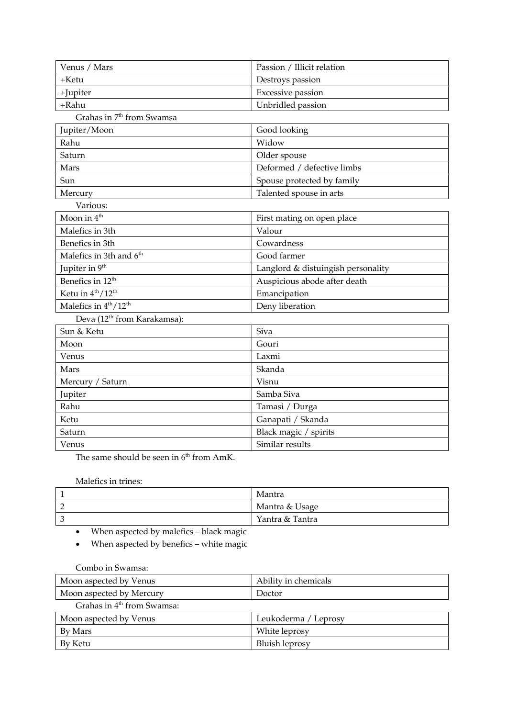| Venus / Mars                                  | Passion / Illicit relation         |  |
|-----------------------------------------------|------------------------------------|--|
| +Ketu                                         | Destroys passion                   |  |
| +Jupiter                                      | Excessive passion                  |  |
| +Rahu                                         | Unbridled passion                  |  |
| Grahas in 7 <sup>th</sup> from Swamsa         |                                    |  |
| Jupiter/Moon                                  | Good looking                       |  |
| Rahu                                          | Widow                              |  |
| Saturn                                        | Older spouse                       |  |
| Mars                                          | Deformed / defective limbs         |  |
| Sun                                           | Spouse protected by family         |  |
| Mercury                                       | Talented spouse in arts            |  |
| Various:                                      |                                    |  |
| Moon in 4 <sup>th</sup>                       | First mating on open place         |  |
| Malefics in 3th                               | Valour                             |  |
| Benefics in 3th                               | Cowardness                         |  |
| Malefics in 3th and 6 <sup>th</sup>           | Good farmer                        |  |
| Jupiter in 9 <sup>th</sup>                    | Langlord & distuingish personality |  |
| Benefics in 12 <sup>th</sup>                  | Auspicious abode after death       |  |
| Ketu in $4^{th}/12^{th}$                      | Emancipation                       |  |
| Malefics in 4 <sup>th</sup> /12 <sup>th</sup> | Deny liberation                    |  |
| Deva (12 <sup>th</sup> from Karakamsa):       |                                    |  |
| Sun & Ketu                                    | Siva                               |  |
| Moon                                          | Gouri                              |  |
| Venus                                         | Laxmi                              |  |
| Mars                                          | Skanda                             |  |
| Mercury / Saturn                              | Visnu                              |  |
| Jupiter                                       | Samba Siva                         |  |
| Rahu                                          | Tamasi / Durga                     |  |
| Ketu                                          | Ganapati / Skanda                  |  |
| Saturn                                        | Black magic / spirits              |  |
| Venus                                         | Similar results                    |  |

The same should be seen in  $6<sup>th</sup>$  from AmK.

Malefics in trines:

| Mantra          |
|-----------------|
| Mantra & Usage  |
| Yantra & Tantra |

- When aspected by malefics black magic
- When aspected by benefics white magic

Combo in Swamsa:

| Moon aspected by Venus                 | Ability in chemicals |
|----------------------------------------|----------------------|
| Moon aspected by Mercury               | Doctor               |
| Grahas in 4 <sup>th</sup> from Swamsa: |                      |
| Moon aspected by Venus                 | Leukoderma / Leprosy |
| By Mars                                | White leprosy        |
| By Ketu                                | Bluish leprosy       |